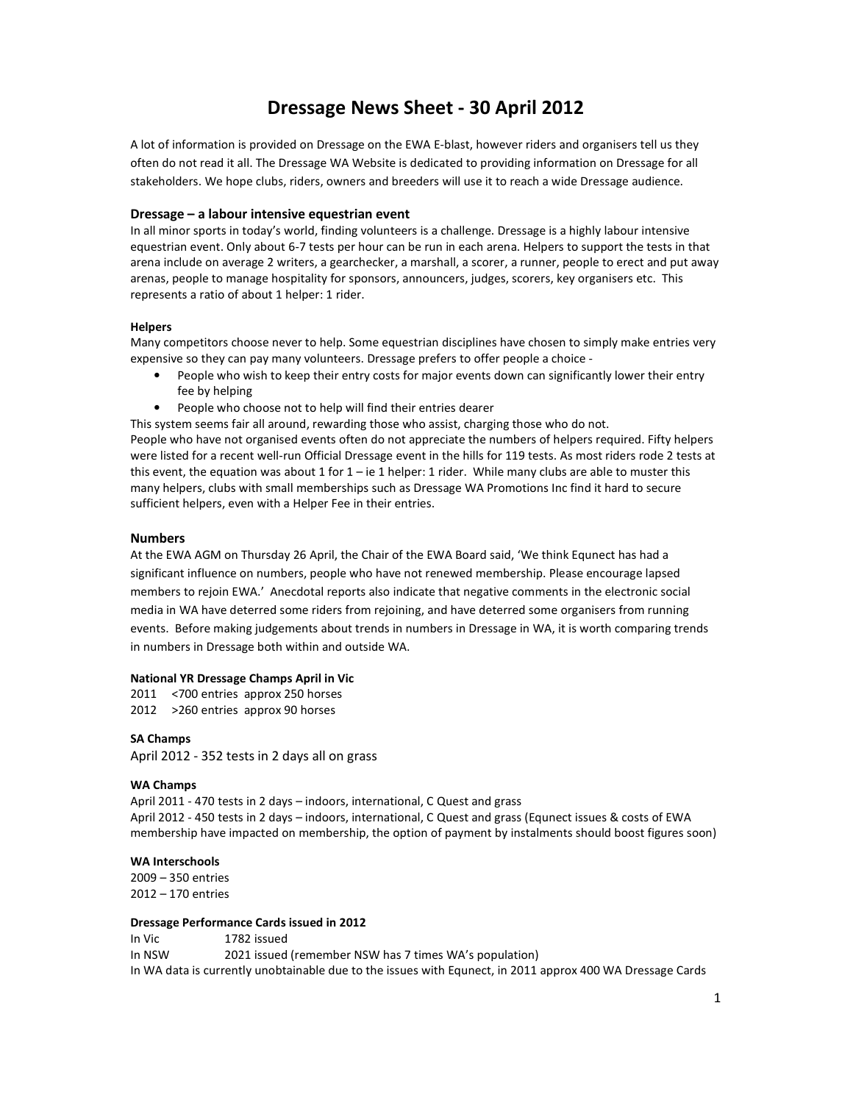# **Dressage News Sheet - 30 April 2012**

A lot of information is provided on Dressage on the EWA E-blast, however riders and organisers tell us they often do not read it all. The Dressage WA Website is dedicated to providing information on Dressage for all stakeholders. We hope clubs, riders, owners and breeders will use it to reach a wide Dressage audience.

### **Dressage – a labour intensive equestrian event**

In all minor sports in today's world, finding volunteers is a challenge. Dressage is a highly labour intensive equestrian event. Only about 6-7 tests per hour can be run in each arena. Helpers to support the tests in that arena include on average 2 writers, a gearchecker, a marshall, a scorer, a runner, people to erect and put away arenas, people to manage hospitality for sponsors, announcers, judges, scorers, key organisers etc. This represents a ratio of about 1 helper: 1 rider.

#### **Helpers**

Many competitors choose never to help. Some equestrian disciplines have chosen to simply make entries very expensive so they can pay many volunteers. Dressage prefers to offer people a choice -

- People who wish to keep their entry costs for major events down can significantly lower their entry fee by helping
- People who choose not to help will find their entries dearer

This system seems fair all around, rewarding those who assist, charging those who do not. People who have not organised events often do not appreciate the numbers of helpers required. Fifty helpers were listed for a recent well-run Official Dressage event in the hills for 119 tests. As most riders rode 2 tests at this event, the equation was about 1 for  $1 - ie 1$  helper: 1 rider. While many clubs are able to muster this many helpers, clubs with small memberships such as Dressage WA Promotions Inc find it hard to secure sufficient helpers, even with a Helper Fee in their entries.

## **Numbers**

At the EWA AGM on Thursday 26 April, the Chair of the EWA Board said, 'We think Equnect has had a significant influence on numbers, people who have not renewed membership. Please encourage lapsed members to rejoin EWA.' Anecdotal reports also indicate that negative comments in the electronic social media in WA have deterred some riders from rejoining, and have deterred some organisers from running events. Before making judgements about trends in numbers in Dressage in WA, it is worth comparing trends in numbers in Dressage both within and outside WA.

#### **National YR Dressage Champs April in Vic**

2011 <700 entries approx 250 horses 2012 >260 entries approx 90 horses

#### **SA Champs**

April 2012 - 352 tests in 2 days all on grass

#### **WA Champs**

April 2011 - 470 tests in 2 days – indoors, international, C Quest and grass April 2012 - 450 tests in 2 days – indoors, international, C Quest and grass (Equnect issues & costs of EWA membership have impacted on membership, the option of payment by instalments should boost figures soon)

## **WA Interschools**

2009 – 350 entries 2012 – 170 entries

#### **Dressage Performance Cards issued in 2012**

In Vic 1782 issued In NSW 2021 issued (remember NSW has 7 times WA's population) In WA data is currently unobtainable due to the issues with Equnect, in 2011 approx 400 WA Dressage Cards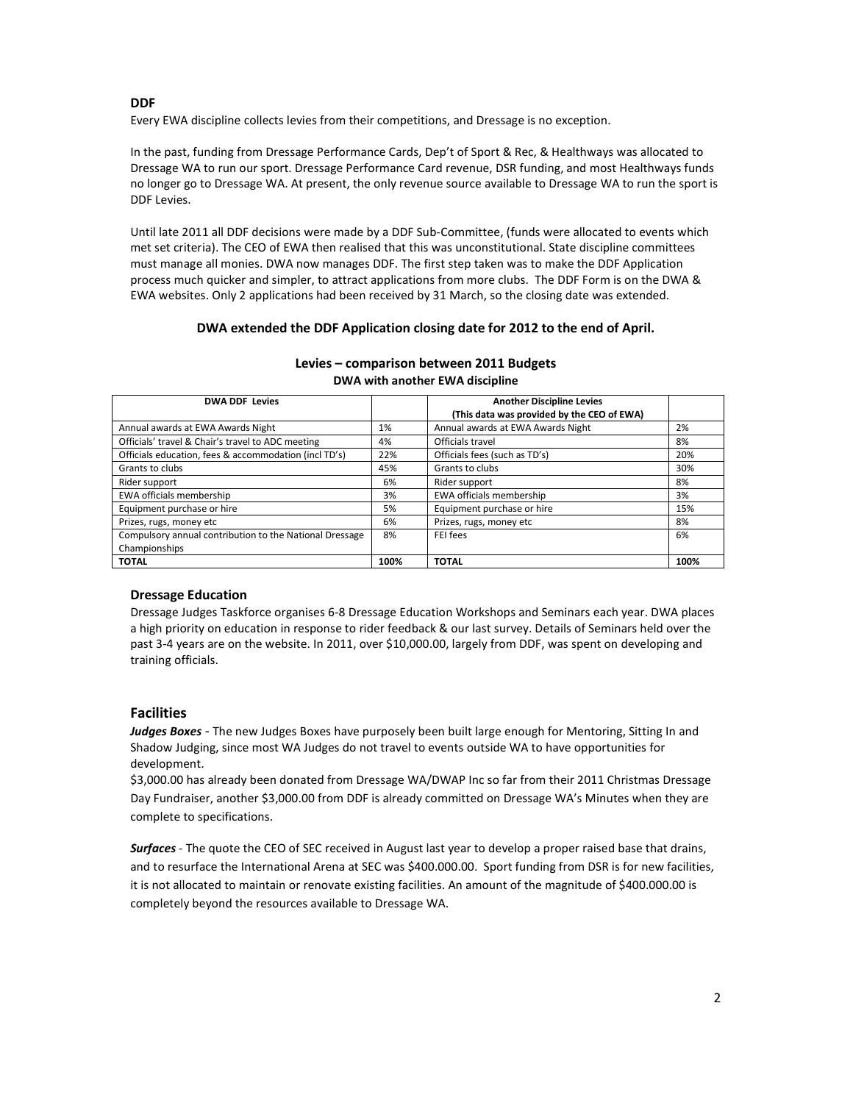## **DDF**

Every EWA discipline collects levies from their competitions, and Dressage is no exception.

In the past, funding from Dressage Performance Cards, Dep't of Sport & Rec, & Healthways was allocated to Dressage WA to run our sport. Dressage Performance Card revenue, DSR funding, and most Healthways funds no longer go to Dressage WA. At present, the only revenue source available to Dressage WA to run the sport is DDF Levies.

Until late 2011 all DDF decisions were made by a DDF Sub-Committee, (funds were allocated to events which met set criteria). The CEO of EWA then realised that this was unconstitutional. State discipline committees must manage all monies. DWA now manages DDF. The first step taken was to make the DDF Application process much quicker and simpler, to attract applications from more clubs. The DDF Form is on the DWA & EWA websites. Only 2 applications had been received by 31 March, so the closing date was extended.

## **DWA extended the DDF Application closing date for 2012 to the end of April.**

| <b>DWA DDF Levies</b>                                   |      | <b>Another Discipline Levies</b><br>(This data was provided by the CEO of EWA) |      |
|---------------------------------------------------------|------|--------------------------------------------------------------------------------|------|
| Annual awards at EWA Awards Night                       | 1%   | Annual awards at EWA Awards Night                                              | 2%   |
| Officials' travel & Chair's travel to ADC meeting       | 4%   | Officials travel                                                               | 8%   |
| Officials education, fees & accommodation (incl TD's)   | 22%  | Officials fees (such as TD's)                                                  | 20%  |
| Grants to clubs                                         | 45%  | Grants to clubs                                                                | 30%  |
| Rider support                                           | 6%   | Rider support                                                                  | 8%   |
| EWA officials membership                                | 3%   | EWA officials membership                                                       | 3%   |
| Equipment purchase or hire                              | 5%   | Equipment purchase or hire                                                     | 15%  |
| Prizes, rugs, money etc                                 | 6%   | Prizes, rugs, money etc                                                        | 8%   |
| Compulsory annual contribution to the National Dressage | 8%   | FEI fees                                                                       | 6%   |
| Championships                                           |      |                                                                                |      |
| <b>TOTAL</b>                                            | 100% | <b>TOTAL</b>                                                                   | 100% |

## **Levies – comparison between 2011 Budgets DWA with another EWA discipline**

# **Dressage Education**

Dressage Judges Taskforce organises 6-8 Dressage Education Workshops and Seminars each year. DWA places a high priority on education in response to rider feedback & our last survey. Details of Seminars held over the past 3-4 years are on the website. In 2011, over \$10,000.00, largely from DDF, was spent on developing and training officials.

# **Facilities**

*Judges Boxes* - The new Judges Boxes have purposely been built large enough for Mentoring, Sitting In and Shadow Judging, since most WA Judges do not travel to events outside WA to have opportunities for development.

\$3,000.00 has already been donated from Dressage WA/DWAP Inc so far from their 2011 Christmas Dressage Day Fundraiser, another \$3,000.00 from DDF is already committed on Dressage WA's Minutes when they are complete to specifications.

*Surfaces* - The quote the CEO of SEC received in August last year to develop a proper raised base that drains, and to resurface the International Arena at SEC was \$400.000.00. Sport funding from DSR is for new facilities, it is not allocated to maintain or renovate existing facilities. An amount of the magnitude of \$400.000.00 is completely beyond the resources available to Dressage WA.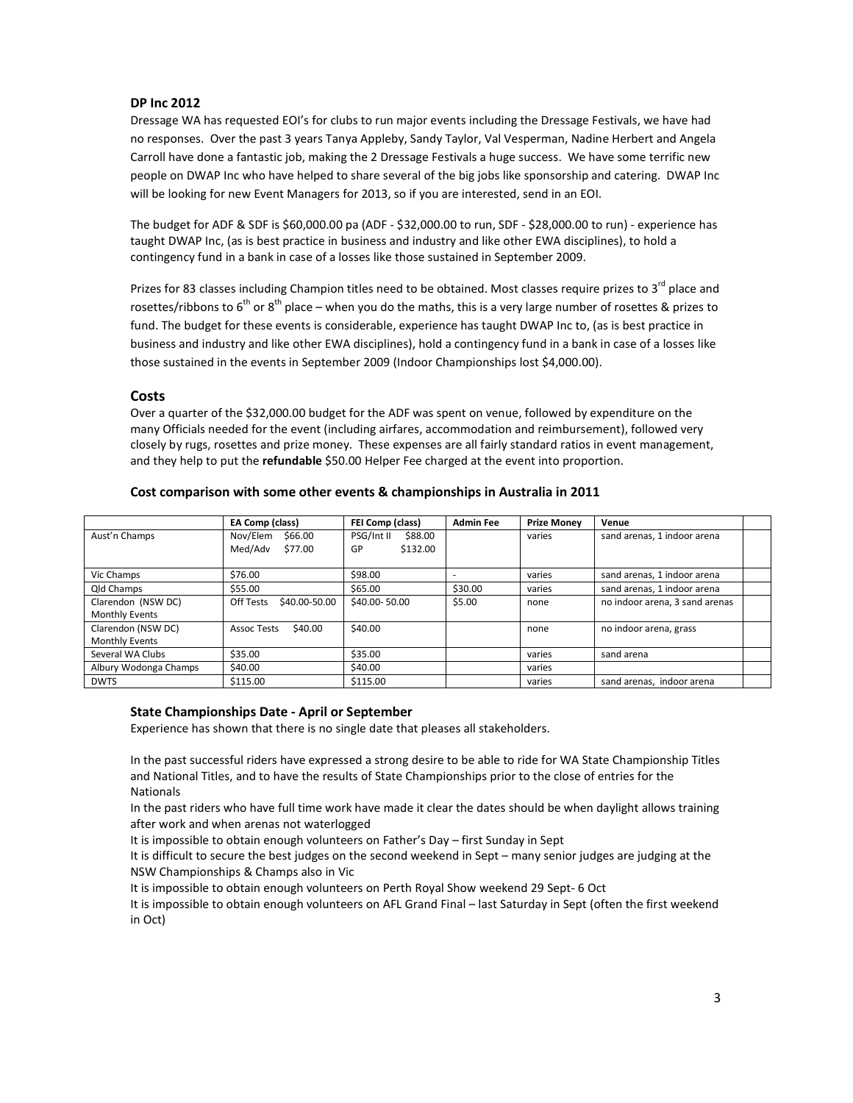## **DP Inc 2012**

Dressage WA has requested EOI's for clubs to run major events including the Dressage Festivals, we have had no responses. Over the past 3 years Tanya Appleby, Sandy Taylor, Val Vesperman, Nadine Herbert and Angela Carroll have done a fantastic job, making the 2 Dressage Festivals a huge success. We have some terrific new people on DWAP Inc who have helped to share several of the big jobs like sponsorship and catering. DWAP Inc will be looking for new Event Managers for 2013, so if you are interested, send in an EOI.

The budget for ADF & SDF is \$60,000.00 pa (ADF - \$32,000.00 to run, SDF - \$28,000.00 to run) - experience has taught DWAP Inc, (as is best practice in business and industry and like other EWA disciplines), to hold a contingency fund in a bank in case of a losses like those sustained in September 2009.

Prizes for 83 classes including Champion titles need to be obtained. Most classes require prizes to  $3^{rd}$  place and rosettes/ribbons to 6<sup>th</sup> or 8<sup>th</sup> place – when you do the maths, this is a very large number of rosettes & prizes to fund. The budget for these events is considerable, experience has taught DWAP Inc to, (as is best practice in business and industry and like other EWA disciplines), hold a contingency fund in a bank in case of a losses like those sustained in the events in September 2009 (Indoor Championships lost \$4,000.00).

## **Costs**

Over a quarter of the \$32,000.00 budget for the ADF was spent on venue, followed by expenditure on the many Officials needed for the event (including airfares, accommodation and reimbursement), followed very closely by rugs, rosettes and prize money. These expenses are all fairly standard ratios in event management, and they help to put the **refundable** \$50.00 Helper Fee charged at the event into proportion.

|                       | EA Comp (class)            | FEI Comp (class)      | <b>Admin Fee</b> | <b>Prize Monev</b> | Venue                          |
|-----------------------|----------------------------|-----------------------|------------------|--------------------|--------------------------------|
| Aust'n Champs         | Nov/Elem<br>\$66.00        | PSG/Int II<br>\$88.00 |                  | varies             | sand arenas, 1 indoor arena    |
|                       | Med/Adv<br>\$77.00         | \$132.00<br>GP        |                  |                    |                                |
|                       |                            |                       |                  |                    |                                |
| Vic Champs            | \$76.00                    | \$98.00               |                  | varies             | sand arenas, 1 indoor arena    |
| Qld Champs            | \$55.00                    | \$65.00               | \$30.00          | varies             | sand arenas, 1 indoor arena    |
| Clarendon (NSW DC)    | Off Tests<br>\$40.00-50.00 | \$40.00-50.00         | \$5.00           | none               | no indoor arena, 3 sand arenas |
| <b>Monthly Events</b> |                            |                       |                  |                    |                                |
| Clarendon (NSW DC)    | \$40.00<br>Assoc Tests     | \$40.00               |                  | none               | no indoor arena, grass         |
| <b>Monthly Events</b> |                            |                       |                  |                    |                                |
| Several WA Clubs      | \$35.00                    | \$35.00               |                  | varies             | sand arena                     |
| Albury Wodonga Champs | \$40.00                    | \$40.00               |                  | varies             |                                |
| <b>DWTS</b>           | \$115.00                   | \$115.00              |                  | varies             | sand arenas, indoor arena      |

## **Cost comparison with some other events & championships in Australia in 2011**

### **State Championships Date - April or September**

Experience has shown that there is no single date that pleases all stakeholders.

In the past successful riders have expressed a strong desire to be able to ride for WA State Championship Titles and National Titles, and to have the results of State Championships prior to the close of entries for the Nationals

In the past riders who have full time work have made it clear the dates should be when daylight allows training after work and when arenas not waterlogged

It is impossible to obtain enough volunteers on Father's Day – first Sunday in Sept

It is difficult to secure the best judges on the second weekend in Sept – many senior judges are judging at the NSW Championships & Champs also in Vic

It is impossible to obtain enough volunteers on Perth Royal Show weekend 29 Sept- 6 Oct

It is impossible to obtain enough volunteers on AFL Grand Final – last Saturday in Sept (often the first weekend in Oct)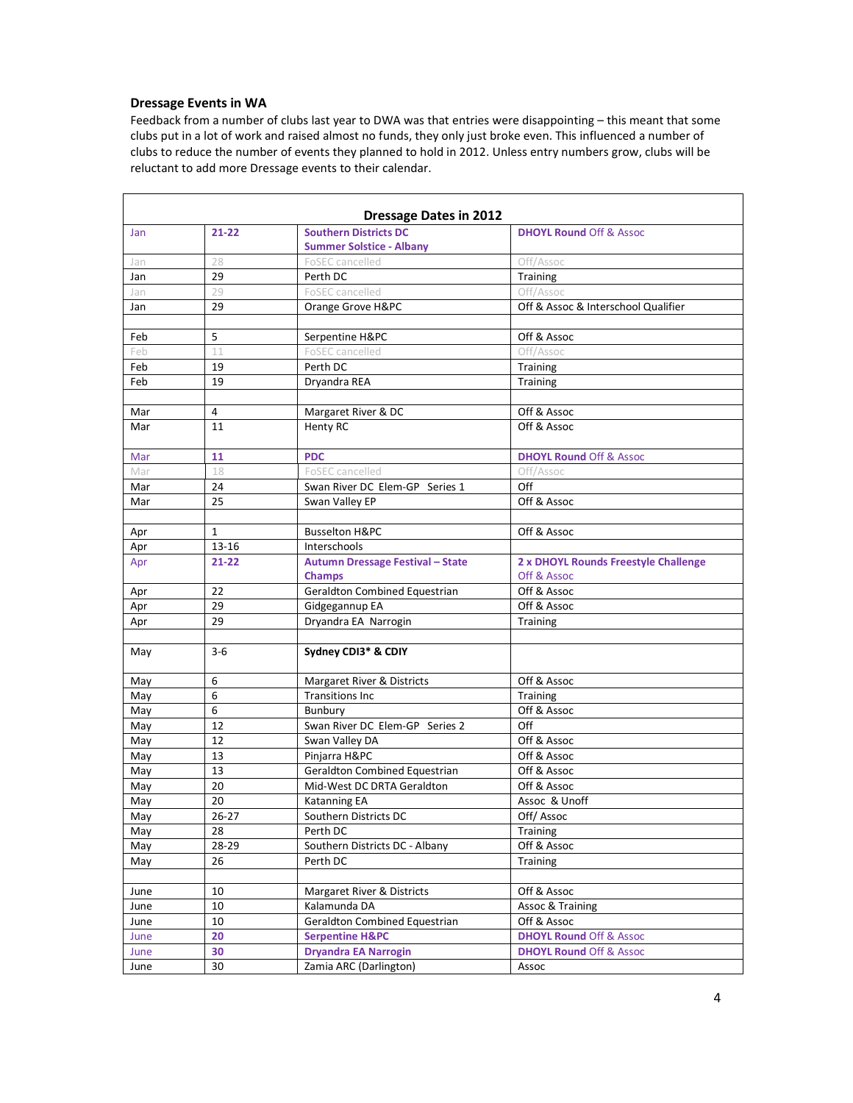# **Dressage Events in WA**

Feedback from a number of clubs last year to DWA was that entries were disappointing – this meant that some clubs put in a lot of work and raised almost no funds, they only just broke even. This influenced a number of clubs to reduce the number of events they planned to hold in 2012. Unless entry numbers grow, clubs will be reluctant to add more Dressage events to their calendar.

| Jan  | $21 - 22$ | <b>Southern Districts DC</b>            | <b>DHOYL Round Off &amp; Assoc</b>   |  |
|------|-----------|-----------------------------------------|--------------------------------------|--|
|      |           | <b>Summer Solstice - Albany</b>         |                                      |  |
| Jan  | 28        | FoSEC cancelled                         | Off/Assoc                            |  |
| Jan  | 29        | Perth DC                                | Training                             |  |
| Jan  | 29        | FoSEC cancelled                         | Off/Assoc                            |  |
| Jan  | 29        | Orange Grove H&PC                       | Off & Assoc & Interschool Qualifier  |  |
|      |           |                                         |                                      |  |
| Feb  | 5         | Serpentine H&PC                         | Off & Assoc                          |  |
| Feb  | 11        | FoSEC cancelled                         | Off/Assoc                            |  |
| Feb  | 19        | Perth DC                                | Training                             |  |
| Feb  | 19        | Dryandra REA                            | Training                             |  |
|      |           |                                         |                                      |  |
| Mar  | 4         | Margaret River & DC                     | Off & Assoc                          |  |
| Mar  | 11        | Henty RC                                | Off & Assoc                          |  |
|      |           |                                         |                                      |  |
| Mar  | 11        | <b>PDC</b>                              | <b>DHOYL Round Off &amp; Assoc</b>   |  |
| Mar  | 18        | FoSEC cancelled                         | Off/Assoc                            |  |
| Mar  | 24        | Swan River DC Elem-GP Series 1          | Off                                  |  |
| Mar  | 25        | Swan Valley EP                          | Off & Assoc                          |  |
|      |           |                                         |                                      |  |
| Apr  | 1         | <b>Busselton H&amp;PC</b>               | Off & Assoc                          |  |
| Apr  | $13 - 16$ | Interschools                            |                                      |  |
| Apr  | $21 - 22$ | <b>Autumn Dressage Festival - State</b> | 2 x DHOYL Rounds Freestyle Challenge |  |
|      |           | <b>Champs</b>                           | Off & Assoc                          |  |
| Apr  | 22        | Geraldton Combined Equestrian           | Off & Assoc                          |  |
| Apr  | 29        | Gidgegannup EA                          | Off & Assoc                          |  |
| Apr  | 29        | Dryandra EA Narrogin                    | Training                             |  |
|      |           |                                         |                                      |  |
| May  | $3 - 6$   | Sydney CDI3* & CDIY                     |                                      |  |
|      |           |                                         |                                      |  |
| May  | 6         | Margaret River & Districts              | Off & Assoc                          |  |
| May  | 6         | <b>Transitions Inc</b>                  | Training                             |  |
| May  | 6         | Bunbury                                 | Off & Assoc                          |  |
| May  | 12        | Swan River DC Elem-GP Series 2          | Off                                  |  |
| May  | 12        | Swan Valley DA                          | Off & Assoc                          |  |
| May  | 13        | Pinjarra H&PC                           | Off & Assoc                          |  |
| May  | 13        | Geraldton Combined Equestrian           | Off & Assoc                          |  |
| May  | 20        | Mid-West DC DRTA Geraldton              | Off & Assoc                          |  |
| May  | 20        | Katanning EA                            | Assoc & Unoff                        |  |
| May  | $26 - 27$ | Southern Districts DC                   | Off/Assoc                            |  |
| May  | 28        | Perth DC                                | Training                             |  |
| May  | 28-29     | Southern Districts DC - Albany          | Off & Assoc                          |  |
| May  | 26        | Perth DC                                | <b>Training</b>                      |  |
|      |           |                                         |                                      |  |
| June | 10        | Margaret River & Districts              | Off & Assoc                          |  |
| June | 10        | Kalamunda DA                            | Assoc & Training                     |  |
| June | 10        | Geraldton Combined Equestrian           | Off & Assoc                          |  |
| June | 20        | <b>Serpentine H&amp;PC</b>              | <b>DHOYL Round Off &amp; Assoc</b>   |  |
| June | 30        | <b>Dryandra EA Narrogin</b>             | <b>DHOYL Round Off &amp; Assoc</b>   |  |
| June | 30        | Zamia ARC (Darlington)                  | Assoc                                |  |